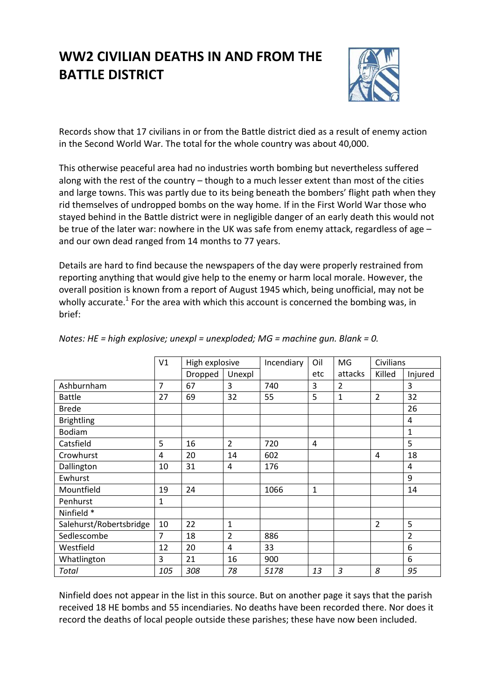# **WW2 CIVILIAN DEATHS IN AND FROM THE BATTLE DISTRICT**



Records show that 17 civilians in or from the Battle district died as a result of enemy action in the Second World War. The total for the whole country was about 40,000.

This otherwise peaceful area had no industries worth bombing but nevertheless suffered along with the rest of the country – though to a much lesser extent than most of the cities and large towns. This was partly due to its being beneath the bombers' flight path when they rid themselves of undropped bombs on the way home. If in the First World War those who stayed behind in the Battle district were in negligible danger of an early death this would not be true of the later war: nowhere in the UK was safe from enemy attack, regardless of age – and our own dead ranged from 14 months to 77 years.

Details are hard to find because the newspapers of the day were properly restrained from reporting anything that would give help to the enemy or harm local morale. However, the overall position is known from a report of August 1945 which, being unofficial, may not be wholly accurate.<sup>1</sup> For the area with which this account is concerned the bombing was, in brief:

|                         | V <sub>1</sub> | High explosive |                | Incendiary | Oil          | MG      | <b>Civilians</b> |              |
|-------------------------|----------------|----------------|----------------|------------|--------------|---------|------------------|--------------|
|                         |                |                |                |            |              |         |                  |              |
|                         |                | Dropped        | Unexpl         |            | etc          | attacks | Killed           | Injured      |
| Ashburnham              | $\overline{7}$ | 67             | 3              | 740        | 3            | 2       |                  | 3            |
| <b>Battle</b>           | 27             | 69             | 32             | 55         | 5            | 1       | $\overline{2}$   | 32           |
| <b>Brede</b>            |                |                |                |            |              |         |                  | 26           |
| <b>Brightling</b>       |                |                |                |            |              |         |                  | 4            |
| <b>Bodiam</b>           |                |                |                |            |              |         |                  | $\mathbf{1}$ |
| Catsfield               | 5              | 16             | $\overline{2}$ | 720        | 4            |         |                  | 5            |
| Crowhurst               | 4              | 20             | 14             | 602        |              |         | 4                | 18           |
| Dallington              | 10             | 31             | 4              | 176        |              |         |                  | 4            |
| Ewhurst                 |                |                |                |            |              |         |                  | 9            |
| Mountfield              | 19             | 24             |                | 1066       | $\mathbf{1}$ |         |                  | 14           |
| Penhurst                | 1              |                |                |            |              |         |                  |              |
| Ninfield *              |                |                |                |            |              |         |                  |              |
| Salehurst/Robertsbridge | 10             | 22             | $\mathbf{1}$   |            |              |         | $\overline{2}$   | 5            |
| Sedlescombe             | 7              | 18             | $\overline{2}$ | 886        |              |         |                  | 2            |
| Westfield               | 12             | 20             | $\overline{4}$ | 33         |              |         |                  | 6            |
| Whatlington             | 3              | 21             | 16             | 900        |              |         |                  | 6            |
| Total                   | 105            | 308            | 78             | 5178       | 13           | 3       | 8                | 95           |

*Notes: HE = high explosive; unexpl = unexploded; MG = machine gun. Blank = 0.*

Ninfield does not appear in the list in this source. But on another page it says that the parish received 18 HE bombs and 55 incendiaries. No deaths have been recorded there. Nor does it record the deaths of local people outside these parishes; these have now been included.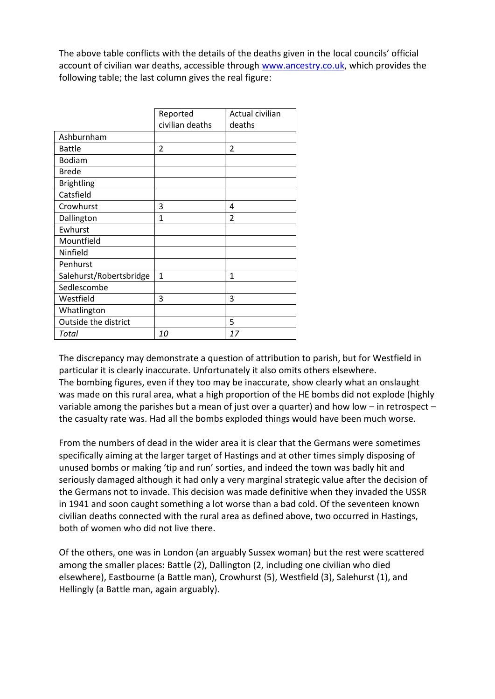The above table conflicts with the details of the deaths given in the local councils' official account of civilian war deaths, accessible through [www.ancestry.co.uk,](http://www.ancestry.co.uk/) which provides the following table; the last column gives the real figure:

|                         | Reported<br>civilian deaths | Actual civilian<br>deaths |
|-------------------------|-----------------------------|---------------------------|
| Ashburnham              |                             |                           |
| <b>Battle</b>           | $\overline{2}$              | $\overline{2}$            |
| <b>Bodiam</b>           |                             |                           |
| <b>Brede</b>            |                             |                           |
| <b>Brightling</b>       |                             |                           |
| Catsfield               |                             |                           |
| Crowhurst               | 3                           | 4                         |
| Dallington              | 1                           | $\overline{2}$            |
| Ewhurst                 |                             |                           |
| Mountfield              |                             |                           |
| Ninfield                |                             |                           |
| Penhurst                |                             |                           |
| Salehurst/Robertsbridge | $\mathbf{1}$                | 1                         |
| Sedlescombe             |                             |                           |
| Westfield               | 3                           | 3                         |
| Whatlington             |                             |                           |
| Outside the district    |                             | 5                         |
| Total                   | 10                          | 17                        |

The discrepancy may demonstrate a question of attribution to parish, but for Westfield in particular it is clearly inaccurate. Unfortunately it also omits others elsewhere. The bombing figures, even if they too may be inaccurate, show clearly what an onslaught was made on this rural area, what a high proportion of the HE bombs did not explode (highly variable among the parishes but a mean of just over a quarter) and how low – in retrospect – the casualty rate was. Had all the bombs exploded things would have been much worse.

From the numbers of dead in the wider area it is clear that the Germans were sometimes specifically aiming at the larger target of Hastings and at other times simply disposing of unused bombs or making 'tip and run' sorties, and indeed the town was badly hit and seriously damaged although it had only a very marginal strategic value after the decision of the Germans not to invade. This decision was made definitive when they invaded the USSR in 1941 and soon caught something a lot worse than a bad cold. Of the seventeen known civilian deaths connected with the rural area as defined above, two occurred in Hastings, both of women who did not live there.

Of the others, one was in London (an arguably Sussex woman) but the rest were scattered among the smaller places: Battle (2), Dallington (2, including one civilian who died elsewhere), Eastbourne (a Battle man), Crowhurst (5), Westfield (3), Salehurst (1), and Hellingly (a Battle man, again arguably).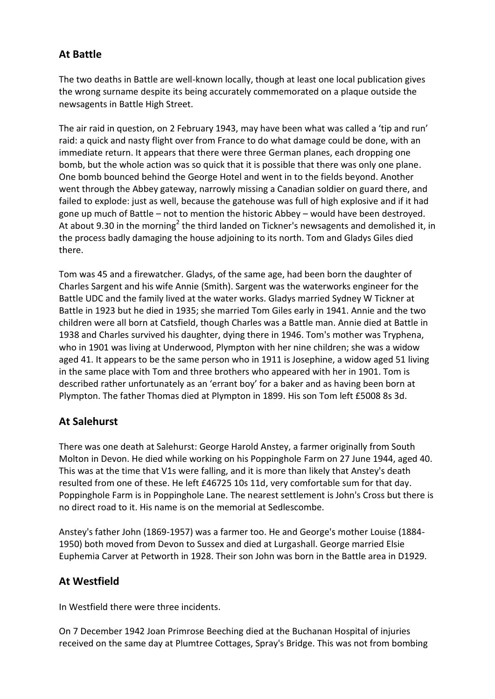# **At Battle**

The two deaths in Battle are well-known locally, though at least one local publication gives the wrong surname despite its being accurately commemorated on a plaque outside the newsagents in Battle High Street.

The air raid in question, on 2 February 1943, may have been what was called a 'tip and run' raid: a quick and nasty flight over from France to do what damage could be done, with an immediate return. It appears that there were three German planes, each dropping one bomb, but the whole action was so quick that it is possible that there was only one plane. One bomb bounced behind the George Hotel and went in to the fields beyond. Another went through the Abbey gateway, narrowly missing a Canadian soldier on guard there, and failed to explode: just as well, because the gatehouse was full of high explosive and if it had gone up much of Battle – not to mention the historic Abbey – would have been destroyed. At about 9.30 in the morning<sup>2</sup> the third landed on Tickner's newsagents and demolished it, in the process badly damaging the house adjoining to its north. Tom and Gladys Giles died there.

Tom was 45 and a firewatcher. Gladys, of the same age, had been born the daughter of Charles Sargent and his wife Annie (Smith). Sargent was the waterworks engineer for the Battle UDC and the family lived at the water works. Gladys married Sydney W Tickner at Battle in 1923 but he died in 1935; she married Tom Giles early in 1941. Annie and the two children were all born at Catsfield, though Charles was a Battle man. Annie died at Battle in 1938 and Charles survived his daughter, dying there in 1946. Tom's mother was Tryphena, who in 1901 was living at Underwood, Plympton with her nine children; she was a widow aged 41. It appears to be the same person who in 1911 is Josephine, a widow aged 51 living in the same place with Tom and three brothers who appeared with her in 1901. Tom is described rather unfortunately as an 'errant boy' for a baker and as having been born at Plympton. The father Thomas died at Plympton in 1899. His son Tom left £5008 8s 3d.

# **At Salehurst**

There was one death at Salehurst: George Harold Anstey, a farmer originally from South Molton in Devon. He died while working on his Poppinghole Farm on 27 June 1944, aged 40. This was at the time that V1s were falling, and it is more than likely that Anstey's death resulted from one of these. He left £46725 10s 11d, very comfortable sum for that day. Poppinghole Farm is in Poppinghole Lane. The nearest settlement is John's Cross but there is no direct road to it. His name is on the memorial at Sedlescombe.

Anstey's father John (1869-1957) was a farmer too. He and George's mother Louise (1884- 1950) both moved from Devon to Sussex and died at Lurgashall. George married Elsie Euphemia Carver at Petworth in 1928. Their son John was born in the Battle area in D1929.

# **At Westfield**

In Westfield there were three incidents.

On 7 December 1942 Joan Primrose Beeching died at the Buchanan Hospital of injuries received on the same day at Plumtree Cottages, Spray's Bridge. This was not from bombing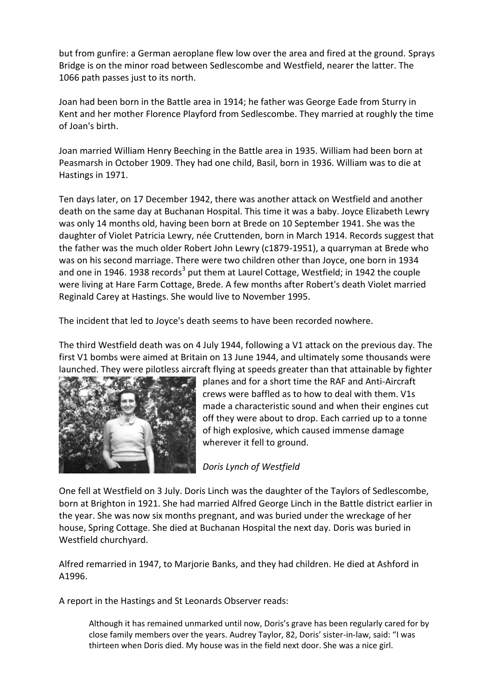but from gunfire: a German aeroplane flew low over the area and fired at the ground. Sprays Bridge is on the minor road between Sedlescombe and Westfield, nearer the latter. The 1066 path passes just to its north.

Joan had been born in the Battle area in 1914; he father was George Eade from Sturry in Kent and her mother Florence Playford from Sedlescombe. They married at roughly the time of Joan's birth.

Joan married William Henry Beeching in the Battle area in 1935. William had been born at Peasmarsh in October 1909. They had one child, Basil, born in 1936. William was to die at Hastings in 1971.

Ten days later, on 17 December 1942, there was another attack on Westfield and another death on the same day at Buchanan Hospital. This time it was a baby. Joyce Elizabeth Lewry was only 14 months old, having been born at Brede on 10 September 1941. She was the daughter of Violet Patricia Lewry, née Cruttenden, born in March 1914. Records suggest that the father was the much older Robert John Lewry (c1879-1951), a quarryman at Brede who was on his second marriage. There were two children other than Joyce, one born in 1934 and one in 1946. 1938 records<sup>3</sup> put them at Laurel Cottage, Westfield; in 1942 the couple were living at Hare Farm Cottage, Brede. A few months after Robert's death Violet married Reginald Carey at Hastings. She would live to November 1995.

The incident that led to Joyce's death seems to have been recorded nowhere.

The third Westfield death was on 4 July 1944, following a V1 attack on the previous day. The first V1 bombs were aimed at Britain on 13 June 1944, and ultimately some thousands were launched. They were pilotless aircraft flying at speeds greater than that attainable by fighter



planes and for a short time the RAF and Anti-Aircraft crews were baffled as to how to deal with them. V1s made a characteristic sound and when their engines cut off they were about to drop. Each carried up to a tonne of high explosive, which caused immense damage wherever it fell to ground.

*Doris Lynch of Westfield*

One fell at Westfield on 3 July. Doris Linch was the daughter of the Taylors of Sedlescombe, born at Brighton in 1921. She had married Alfred George Linch in the Battle district earlier in the year. She was now six months pregnant, and was buried under the wreckage of her house, Spring Cottage. She died at Buchanan Hospital the next day. Doris was buried in Westfield churchyard.

Alfred remarried in 1947, to Marjorie Banks, and they had children. He died at Ashford in A1996.

A report in the Hastings and St Leonards Observer reads:

Although it has remained unmarked until now, Doris's grave has been regularly cared for by close family members over the years. Audrey Taylor, 82, Doris' sister-in-law, said: "I was thirteen when Doris died. My house was in the field next door. She was a nice girl.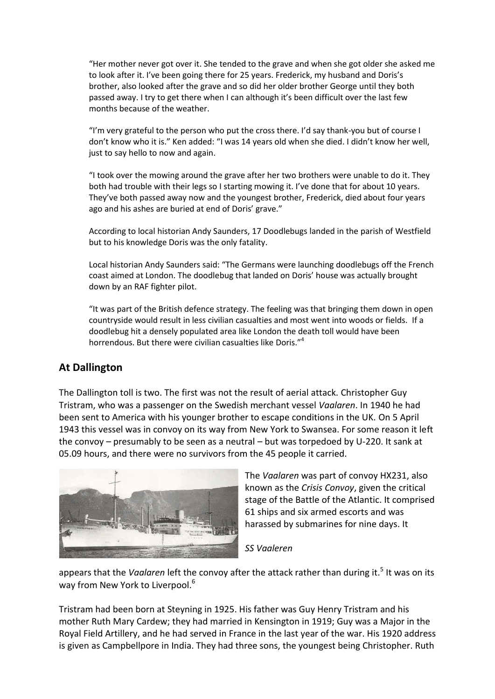"Her mother never got over it. She tended to the grave and when she got older she asked me to look after it. I've been going there for 25 years. Frederick, my husband and Doris's brother, also looked after the grave and so did her older brother George until they both passed away. I try to get there when I can although it's been difficult over the last few months because of the weather.

"I'm very grateful to the person who put the cross there. I'd say thank-you but of course I don't know who it is." Ken added: "I was 14 years old when she died. I didn't know her well, just to say hello to now and again.

"I took over the mowing around the grave after her two brothers were unable to do it. They both had trouble with their legs so I starting mowing it. I've done that for about 10 years. They've both passed away now and the youngest brother, Frederick, died about four years ago and his ashes are buried at end of Doris' grave."

According to local historian Andy Saunders, 17 Doodlebugs landed in the parish of Westfield but to his knowledge Doris was the only fatality.

Local historian Andy Saunders said: "The Germans were launching doodlebugs off the French coast aimed at London. The doodlebug that landed on Doris' house was actually brought down by an RAF fighter pilot.

"It was part of the British defence strategy. The feeling was that bringing them down in open countryside would result in less civilian casualties and most went into woods or fields. If a doodlebug hit a densely populated area like London the death toll would have been horrendous. But there were civilian casualties like Doris."<sup>4</sup>

### **At Dallington**

The Dallington toll is two. The first was not the result of aerial attack. Christopher Guy Tristram, who was a passenger on the Swedish merchant vessel *Vaalaren*. In 1940 he had been sent to America with his younger brother to escape conditions in the UK. On 5 April 1943 this vessel was in convoy on its way from New York to Swansea. For some reason it left the convoy – presumably to be seen as a neutral – but was torpedoed by U-220. It sank at 05.09 hours, and there were no survivors from the 45 people it carried.



The *Vaalaren* was part of convoy HX231, also known as the *Crisis Convoy*, given the critical stage of the Battle of the Atlantic. It comprised 61 ships and six armed escorts and was harassed by submarines for nine days. It

#### *SS Vaaleren*

appears that the *Vaalaren* left the convoy after the attack rather than during it.<sup>5</sup> It was on its way from New York to Liverpool.<sup>6</sup>

Tristram had been born at Steyning in 1925. His father was Guy Henry Tristram and his mother Ruth Mary Cardew; they had married in Kensington in 1919; Guy was a Major in the Royal Field Artillery, and he had served in France in the last year of the war. His 1920 address is given as Campbellpore in India. They had three sons, the youngest being Christopher. Ruth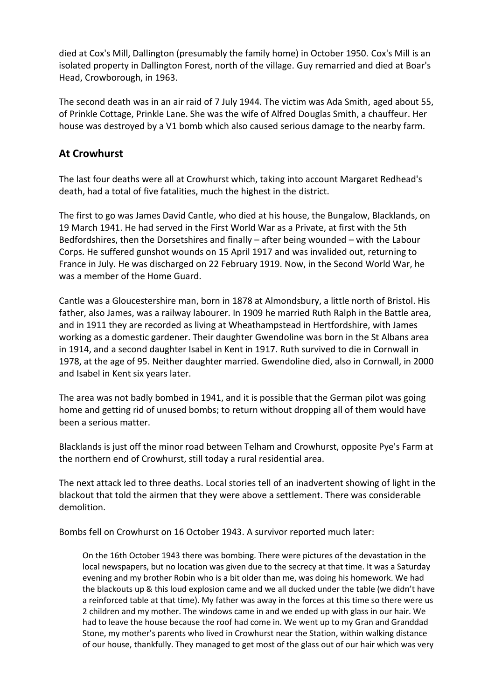died at Cox's Mill, Dallington (presumably the family home) in October 1950. Cox's Mill is an isolated property in Dallington Forest, north of the village. Guy remarried and died at Boar's Head, Crowborough, in 1963.

The second death was in an air raid of 7 July 1944. The victim was Ada Smith, aged about 55, of Prinkle Cottage, Prinkle Lane. She was the wife of Alfred Douglas Smith, a chauffeur. Her house was destroyed by a V1 bomb which also caused serious damage to the nearby farm.

## **At Crowhurst**

The last four deaths were all at Crowhurst which, taking into account Margaret Redhead's death, had a total of five fatalities, much the highest in the district.

The first to go was James David Cantle, who died at his house, the Bungalow, Blacklands, on 19 March 1941. He had served in the First World War as a Private, at first with the 5th Bedfordshires, then the Dorsetshires and finally – after being wounded – with the Labour Corps. He suffered gunshot wounds on 15 April 1917 and was invalided out, returning to France in July. He was discharged on 22 February 1919. Now, in the Second World War, he was a member of the Home Guard.

Cantle was a Gloucestershire man, born in 1878 at Almondsbury, a little north of Bristol. His father, also James, was a railway labourer. In 1909 he married Ruth Ralph in the Battle area, and in 1911 they are recorded as living at Wheathampstead in Hertfordshire, with James working as a domestic gardener. Their daughter Gwendoline was born in the St Albans area in 1914, and a second daughter Isabel in Kent in 1917. Ruth survived to die in Cornwall in 1978, at the age of 95. Neither daughter married. Gwendoline died, also in Cornwall, in 2000 and Isabel in Kent six years later.

The area was not badly bombed in 1941, and it is possible that the German pilot was going home and getting rid of unused bombs; to return without dropping all of them would have been a serious matter.

Blacklands is just off the minor road between Telham and Crowhurst, opposite Pye's Farm at the northern end of Crowhurst, still today a rural residential area.

The next attack led to three deaths. Local stories tell of an inadvertent showing of light in the blackout that told the airmen that they were above a settlement. There was considerable demolition.

Bombs fell on Crowhurst on 16 October 1943. A survivor reported much later:

On the 16th October 1943 there was bombing. There were pictures of the devastation in the local newspapers, but no location was given due to the secrecy at that time. It was a Saturday evening and my brother Robin who is a bit older than me, was doing his homework. We had the blackouts up & this loud explosion came and we all ducked under the table (we didn't have a reinforced table at that time). My father was away in the forces at this time so there were us 2 children and my mother. The windows came in and we ended up with glass in our hair. We had to leave the house because the roof had come in. We went up to my Gran and Granddad Stone, my mother's parents who lived in Crowhurst near the Station, within walking distance of our house, thankfully. They managed to get most of the glass out of our hair which was very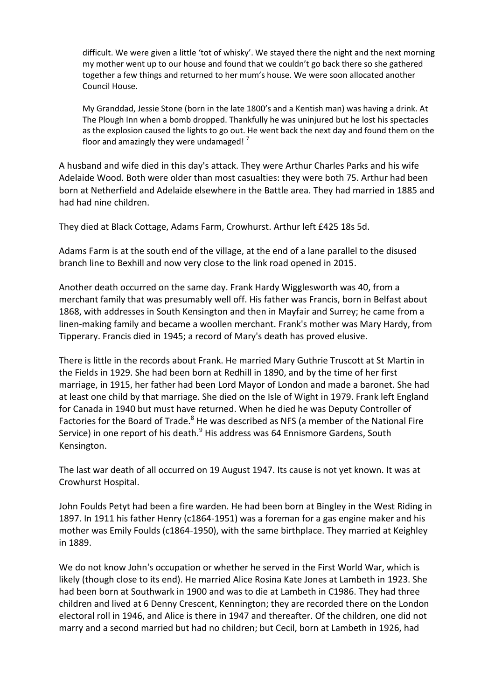difficult. We were given a little 'tot of whisky'. We stayed there the night and the next morning my mother went up to our house and found that we couldn't go back there so she gathered together a few things and returned to her mum's house. We were soon allocated another Council House.

My Granddad, Jessie Stone (born in the late 1800's and a Kentish man) was having a drink. At The Plough Inn when a bomb dropped. Thankfully he was uninjured but he lost his spectacles as the explosion caused the lights to go out. He went back the next day and found them on the floor and amazingly they were undamaged! $'$ 

A husband and wife died in this day's attack. They were Arthur Charles Parks and his wife Adelaide Wood. Both were older than most casualties: they were both 75. Arthur had been born at Netherfield and Adelaide elsewhere in the Battle area. They had married in 1885 and had had nine children.

They died at Black Cottage, Adams Farm, Crowhurst. Arthur left £425 18s 5d.

Adams Farm is at the south end of the village, at the end of a lane parallel to the disused branch line to Bexhill and now very close to the link road opened in 2015.

Another death occurred on the same day. Frank Hardy Wigglesworth was 40, from a merchant family that was presumably well off. His father was Francis, born in Belfast about 1868, with addresses in South Kensington and then in Mayfair and Surrey; he came from a linen-making family and became a woollen merchant. Frank's mother was Mary Hardy, from Tipperary. Francis died in 1945; a record of Mary's death has proved elusive.

There is little in the records about Frank. He married Mary Guthrie Truscott at St Martin in the Fields in 1929. She had been born at Redhill in 1890, and by the time of her first marriage, in 1915, her father had been Lord Mayor of London and made a baronet. She had at least one child by that marriage. She died on the Isle of Wight in 1979. Frank left England for Canada in 1940 but must have returned. When he died he was Deputy Controller of Factories for the Board of Trade.<sup>8</sup> He was described as NFS (a member of the National Fire Service) in one report of his death.<sup>9</sup> His address was 64 Ennismore Gardens, South Kensington.

The last war death of all occurred on 19 August 1947. Its cause is not yet known. It was at Crowhurst Hospital.

John Foulds Petyt had been a fire warden. He had been born at Bingley in the West Riding in 1897. In 1911 his father Henry (c1864-1951) was a foreman for a gas engine maker and his mother was Emily Foulds (c1864-1950), with the same birthplace. They married at Keighley in 1889.

We do not know John's occupation or whether he served in the First World War, which is likely (though close to its end). He married Alice Rosina Kate Jones at Lambeth in 1923. She had been born at Southwark in 1900 and was to die at Lambeth in C1986. They had three children and lived at 6 Denny Crescent, Kennington; they are recorded there on the London electoral roll in 1946, and Alice is there in 1947 and thereafter. Of the children, one did not marry and a second married but had no children; but Cecil, born at Lambeth in 1926, had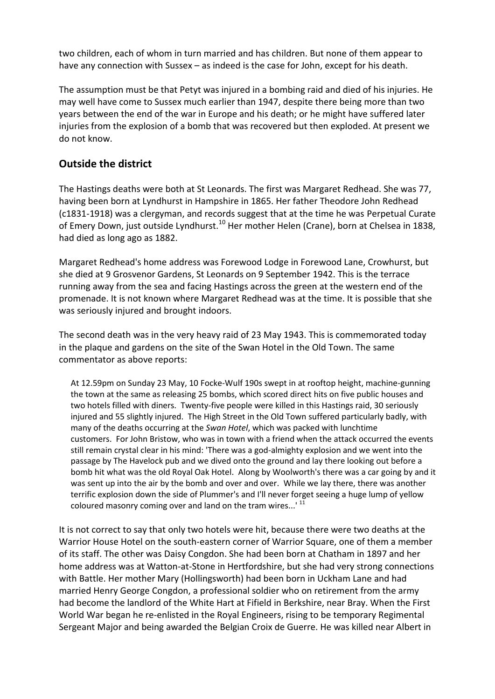two children, each of whom in turn married and has children. But none of them appear to have any connection with Sussex – as indeed is the case for John, except for his death.

The assumption must be that Petyt was injured in a bombing raid and died of his injuries. He may well have come to Sussex much earlier than 1947, despite there being more than two years between the end of the war in Europe and his death; or he might have suffered later injuries from the explosion of a bomb that was recovered but then exploded. At present we do not know.

## **Outside the district**

The Hastings deaths were both at St Leonards. The first was Margaret Redhead. She was 77, having been born at Lyndhurst in Hampshire in 1865. Her father Theodore John Redhead (c1831-1918) was a clergyman, and records suggest that at the time he was Perpetual Curate of Emery Down, just outside Lyndhurst.<sup>10</sup> Her mother Helen (Crane), born at Chelsea in 1838, had died as long ago as 1882.

Margaret Redhead's home address was Forewood Lodge in Forewood Lane, Crowhurst, but she died at 9 Grosvenor Gardens, St Leonards on 9 September 1942. This is the terrace running away from the sea and facing Hastings across the green at the western end of the promenade. It is not known where Margaret Redhead was at the time. It is possible that she was seriously injured and brought indoors.

The second death was in the very heavy raid of 23 May 1943. This is commemorated today in the plaque and gardens on the site of the Swan Hotel in the Old Town. The same commentator as above reports:

At 12.59pm on Sunday 23 May, 10 Focke-Wulf 190s swept in at rooftop height, machine-gunning the town at the same as releasing 25 bombs, which scored direct hits on five public houses and two hotels filled with diners. Twenty-five people were killed in this Hastings raid, 30 seriously injured and 55 slightly injured. The High Street in the Old Town suffered particularly badly, with many of the deaths occurring at the *Swan Hotel*, which was packed with lunchtime customers. For John Bristow, who was in town with a friend when the attack occurred the events still remain crystal clear in his mind: 'There was a god-almighty explosion and we went into the passage by The Havelock pub and we dived onto the ground and lay there looking out before a bomb hit what was the old Royal Oak Hotel. Along by Woolworth's there was a car going by and it was sent up into the air by the bomb and over and over. While we lay there, there was another terrific explosion down the side of Plummer's and I'll never forget seeing a huge lump of yellow coloured masonry coming over and land on the tram wires...' <sup>11</sup>

It is not correct to say that only two hotels were hit, because there were two deaths at the Warrior House Hotel on the south-eastern corner of Warrior Square, one of them a member of its staff. The other was Daisy Congdon. She had been born at Chatham in 1897 and her home address was at Watton-at-Stone in Hertfordshire, but she had very strong connections with Battle. Her mother Mary (Hollingsworth) had been born in Uckham Lane and had married Henry George Congdon, a professional soldier who on retirement from the army had become the landlord of the White Hart at Fifield in Berkshire, near Bray. When the First World War began he re-enlisted in the Royal Engineers, rising to be temporary Regimental Sergeant Major and being awarded the Belgian Croix de Guerre. He was killed near Albert in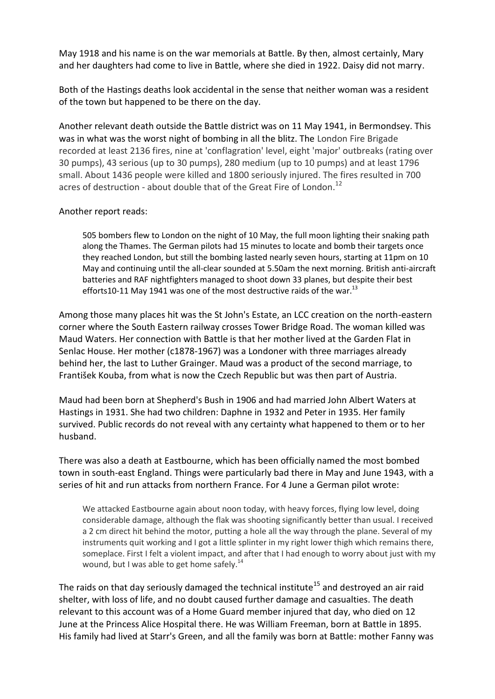May 1918 and his name is on the war memorials at Battle. By then, almost certainly, Mary and her daughters had come to live in Battle, where she died in 1922. Daisy did not marry.

Both of the Hastings deaths look accidental in the sense that neither woman was a resident of the town but happened to be there on the day.

Another relevant death outside the Battle district was on 11 May 1941, in Bermondsey. This was in what was the worst night of bombing in all the blitz. The London Fire Brigade recorded at least 2136 fires, nine at 'conflagration' level, eight 'major' outbreaks (rating over 30 pumps), 43 serious (up to 30 pumps), 280 medium (up to 10 pumps) and at least 1796 small. About 1436 people were killed and 1800 seriously injured. The fires resulted in 700 acres of destruction - about double that of the Great Fire of London.<sup>12</sup>

#### Another report reads:

505 bombers flew to London on the night of 10 May, the full moon lighting their snaking path along the Thames. The German pilots had 15 minutes to locate and bomb their targets once they reached London, but still the bombing lasted nearly seven hours, starting at 11pm on 10 May and continuing until the all-clear sounded at 5.50am the next morning. British anti-aircraft batteries and RAF nightfighters managed to shoot down 33 planes, but despite their best efforts10-11 May 1941 was one of the most destructive raids of the war.<sup>13</sup>

Among those many places hit was the St John's Estate, an LCC creation on the north-eastern corner where the South Eastern railway crosses Tower Bridge Road. The woman killed was Maud Waters. Her connection with Battle is that her mother lived at the Garden Flat in Senlac House. Her mother (c1878-1967) was a Londoner with three marriages already behind her, the last to Luther Grainger. Maud was a product of the second marriage, to František Kouba, from what is now the Czech Republic but was then part of Austria.

Maud had been born at Shepherd's Bush in 1906 and had married John Albert Waters at Hastings in 1931. She had two children: Daphne in 1932 and Peter in 1935. Her family survived. Public records do not reveal with any certainty what happened to them or to her husband.

There was also a death at Eastbourne, which has been officially named the most bombed town in south-east England. Things were particularly bad there in May and June 1943, with a series of hit and run attacks from northern France. For 4 June a German pilot wrote:

We attacked Eastbourne again about noon today, with heavy forces, flying low level, doing considerable damage, although the flak was shooting significantly better than usual. I received a 2 cm direct hit behind the motor, putting a hole all the way through the plane. Several of my instruments quit working and I got a little splinter in my right lower thigh which remains there, someplace. First I felt a violent impact, and after that I had enough to worry about just with my wound, but I was able to get home safely.<sup>14</sup>

The raids on that day seriously damaged the technical institute<sup>15</sup> and destroyed an air raid shelter, with loss of life, and no doubt caused further damage and casualties. The death relevant to this account was of a Home Guard member injured that day, who died on 12 June at the Princess Alice Hospital there. He was William Freeman, born at Battle in 1895. His family had lived at Starr's Green, and all the family was born at Battle: mother Fanny was